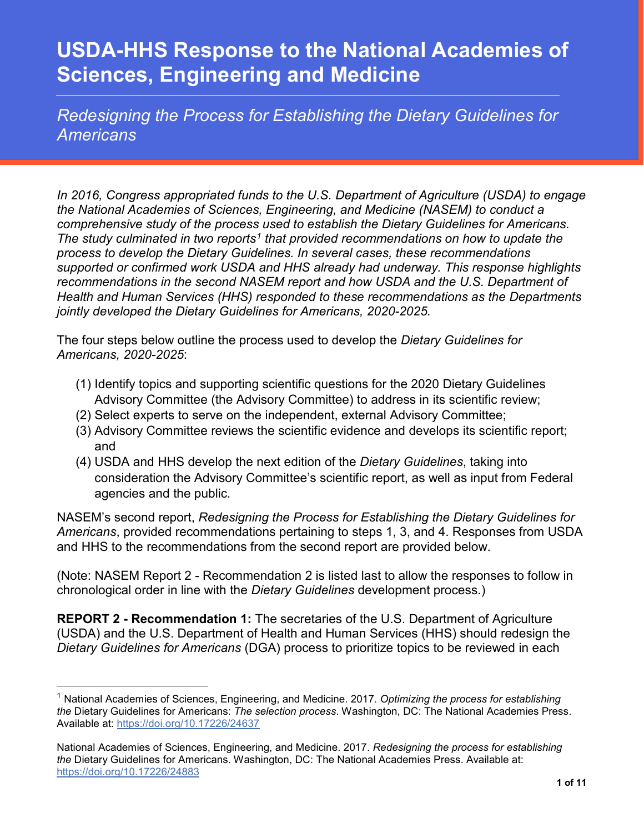*Redesigning the Process for Establishing the Dietary Guidelines for Americans*

*In 2016, Congress appropriated funds to the U.S. Department of Agriculture (USDA) to engage the National Academies of Sciences, Engineering, and Medicine (NASEM) to conduct a comprehensive study of the process used to establish the Dietary Guidelines for Americans. The study culminated in two reports[1](#page-0-0) that provided recommendations on how to update the process to develop the Dietary Guidelines. In several cases, these recommendations supported or confirmed work USDA and HHS already had underway. This response highlights recommendations in the second NASEM report and how USDA and the U.S. Department of Health and Human Services (HHS) responded to these recommendations as the Departments jointly developed the Dietary Guidelines for Americans, 2020-2025.* 

The four steps below outline the process used to develop the *Dietary Guidelines for Americans, 2020-2025*:

- (1) Identify topics and supporting scientific questions for the 2020 Dietary Guidelines Advisory Committee (the Advisory Committee) to address in its scientific review;
- (2) Select experts to serve on the independent, external Advisory Committee;
- (3) Advisory Committee reviews the scientific evidence and develops its scientific report; and
- (4) USDA and HHS develop the next edition of the *Dietary Guidelines*, taking into consideration the Advisory Committee's scientific report, as well as input from Federal agencies and the public*.*

NASEM's second report, *Redesigning the Process for Establishing the Dietary Guidelines for Americans*, provided recommendations pertaining to steps 1, 3, and 4. Responses from USDA and HHS to the recommendations from the second report are provided below.

(Note: NASEM Report 2 - Recommendation 2 is listed last to allow the responses to follow in chronological order in line with the *Dietary Guidelines* development process.)

**REPORT 2 - Recommendation 1:** The secretaries of the U.S. Department of Agriculture (USDA) and the U.S. Department of Health and Human Services (HHS) should redesign the *Dietary Guidelines for Americans* (DGA) process to prioritize topics to be reviewed in each

l

<span id="page-0-0"></span><sup>1</sup> National Academies of Sciences, Engineering, and Medicine. 2017. *Optimizing the process for establishing the* Dietary Guidelines for Americans: *The selection process*. Washington, DC: The National Academies Press. Available at:<https://doi.org/10.17226/24637>

National Academies of Sciences, Engineering, and Medicine. 2017. *Redesigning the process for establishing the* Dietary Guidelines for Americans. Washington, DC: The National Academies Press. Available at: <https://doi.org/10.17226/24883>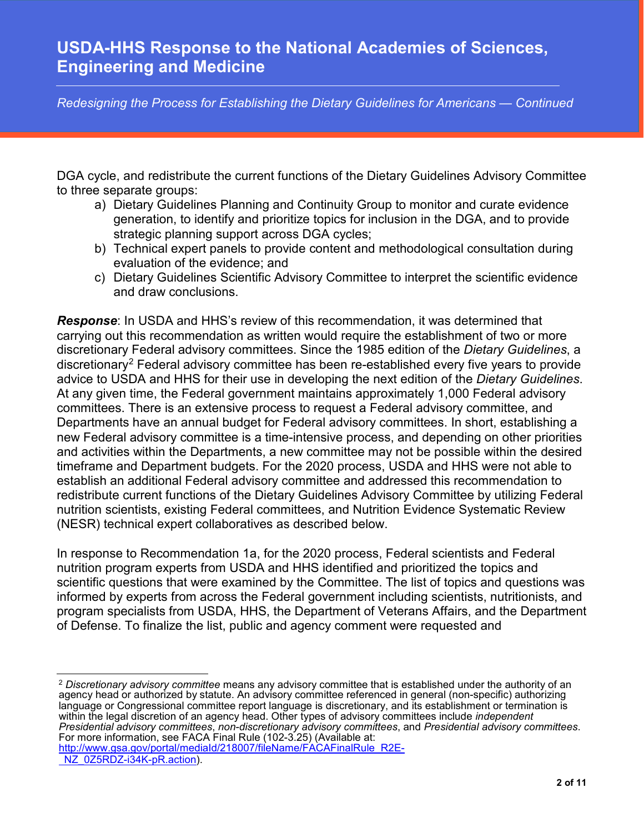*Redesigning the Process for Establishing the Dietary Guidelines for Americans — Continued*

DGA cycle, and redistribute the current functions of the Dietary Guidelines Advisory Committee to three separate groups:

- a) Dietary Guidelines Planning and Continuity Group to monitor and curate evidence generation, to identify and prioritize topics for inclusion in the DGA, and to provide strategic planning support across DGA cycles;
- b) Technical expert panels to provide content and methodological consultation during evaluation of the evidence; and
- c) Dietary Guidelines Scientific Advisory Committee to interpret the scientific evidence and draw conclusions.

*Response*: In USDA and HHS's review of this recommendation, it was determined that carrying out this recommendation as written would require the establishment of two or more discretionary Federal advisory committees. Since the 1985 edition of the *Dietary Guidelines*, a discretionary[2](#page-1-0) Federal advisory committee has been re-established every five years to provide advice to USDA and HHS for their use in developing the next edition of the *Dietary Guidelines*. At any given time, the Federal government maintains approximately 1,000 Federal advisory committees. There is an extensive process to request a Federal advisory committee, and Departments have an annual budget for Federal advisory committees. In short, establishing a new Federal advisory committee is a time-intensive process, and depending on other priorities and activities within the Departments, a new committee may not be possible within the desired timeframe and Department budgets. For the 2020 process, USDA and HHS were not able to establish an additional Federal advisory committee and addressed this recommendation to redistribute current functions of the Dietary Guidelines Advisory Committee by utilizing Federal nutrition scientists, existing Federal committees, and Nutrition Evidence Systematic Review (NESR) technical expert collaboratives as described below.

In response to Recommendation 1a, for the 2020 process, Federal scientists and Federal nutrition program experts from USDA and HHS identified and prioritized the topics and scientific questions that were examined by the Committee. The list of topics and questions was informed by experts from across the Federal government including scientists, nutritionists, and program specialists from USDA, HHS, the Department of Veterans Affairs, and the Department of Defense. To finalize the list, public and agency comment were requested and

<span id="page-1-0"></span> $\overline{\phantom{a}}$ <sup>2</sup> *Discretionary advisory committee* means any advisory committee that is established under the authority of an agency head or authorized by statute. An advisory committee referenced in general (non-specific) authorizing language or Congressional committee report language is discretionary, and its establishment or termination is within the legal discretion of an agency head. Other types of advisory committees include *independent*  Presidential advisory committees, non-discretionary advisory committees, and Presidential advisory committees.<br>For more information, see FACA Final Rule (102-3.25) (Available at:

[http://www.gsa.gov/portal/mediaId/218007/fileName/FACAFinalRule\\_R2E-](http://www.gsa.gov/portal/mediaId/218007/fileName/FACAFinalRule_R2E-cNZ_0Z5RDZ-i34K-pR.action)[NZ\\_0Z5RDZ-i34K-pR.action\)](http://www.gsa.gov/portal/mediaId/218007/fileName/FACAFinalRule_R2E-cNZ_0Z5RDZ-i34K-pR.action).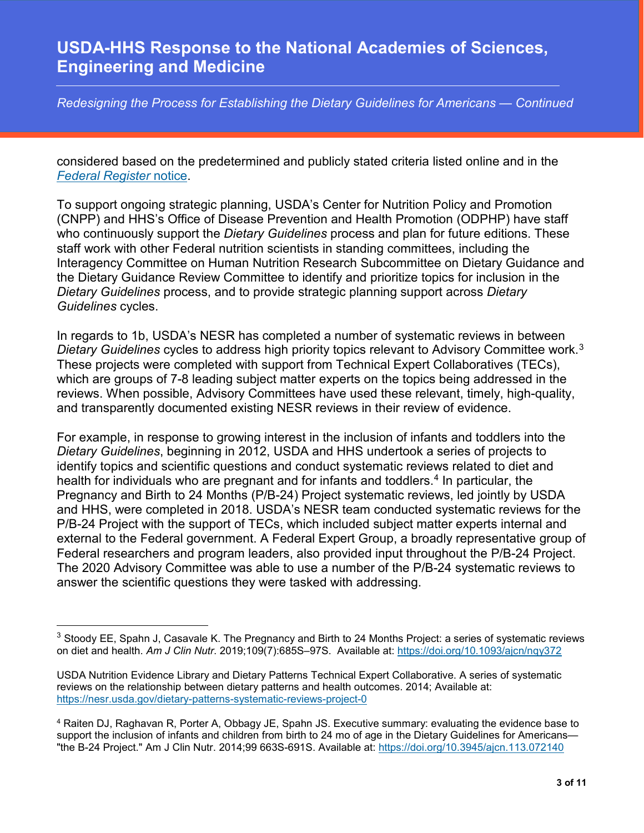*Redesigning the Process for Establishing the Dietary Guidelines for Americans — Continued*

considered based on the predetermined and publicly stated criteria listed online and in the *[Federal Register](https://www.regulations.gov/document/FNS-2018-0005-0001)* notice.

To support ongoing strategic planning, USDA's Center for Nutrition Policy and Promotion (CNPP) and HHS's Office of Disease Prevention and Health Promotion (ODPHP) have staff who continuously support the *Dietary Guidelines* process and plan for future editions. These staff work with other Federal nutrition scientists in standing committees, including the Interagency Committee on Human Nutrition Research Subcommittee on Dietary Guidance and the Dietary Guidance Review Committee to identify and prioritize topics for inclusion in the *Dietary Guidelines* process, and to provide strategic planning support across *Dietary Guidelines* cycles.

In regards to 1b, USDA's NESR has completed a number of systematic reviews in between *Dietary Guidelines* cycles to address high priority topics relevant to Advisory Committee work. [3](#page-2-0) These projects were completed with support from Technical Expert Collaboratives (TECs), which are groups of 7-8 leading subject matter experts on the topics being addressed in the reviews. When possible, Advisory Committees have used these relevant, timely, high-quality, and transparently documented existing NESR reviews in their review of evidence.

For example, in response to growing interest in the inclusion of infants and toddlers into the *Dietary Guidelines*, beginning in 2012, USDA and HHS undertook a series of projects to identify topics and scientific questions and conduct systematic reviews related to diet and health for individuals who are pregnant and for infants and toddlers.<sup>[4](#page-2-1)</sup> In particular, the Pregnancy and Birth to 24 Months (P/B-24) Project systematic reviews, led jointly by USDA and HHS, were completed in 2018. USDA's NESR team conducted systematic reviews for the P/B-24 Project with the support of TECs, which included subject matter experts internal and external to the Federal government. A Federal Expert Group, a broadly representative group of Federal researchers and program leaders, also provided input throughout the P/B-24 Project. The 2020 Advisory Committee was able to use a number of the P/B-24 systematic reviews to answer the scientific questions they were tasked with addressing.

 $\overline{\phantom{a}}$ 

<span id="page-2-0"></span><sup>&</sup>lt;sup>3</sup> Stoody EE, Spahn J, Casavale K. The Pregnancy and Birth to 24 Months Project: a series of systematic reviews on diet and health. *Am J Clin Nutr*. 2019;109(7):685S–97S. Available at:<https://doi.org/10.1093/ajcn/nqy372>

USDA Nutrition Evidence Library and Dietary Patterns Technical Expert Collaborative. A series of systematic reviews on the relationship between dietary patterns and health outcomes. 2014; Available at: <https://nesr.usda.gov/dietary-patterns-systematic-reviews-project-0>

<span id="page-2-1"></span><sup>4</sup> Raiten DJ, Raghavan R, Porter A, Obbagy JE, Spahn JS. Executive summary: evaluating the evidence base to support the inclusion of infants and children from birth to 24 mo of age in the Dietary Guidelines for Americans-"the B-24 Project." Am J Clin Nutr. 2014;99 663S-691S. Available at:<https://doi.org/10.3945/ajcn.113.072140>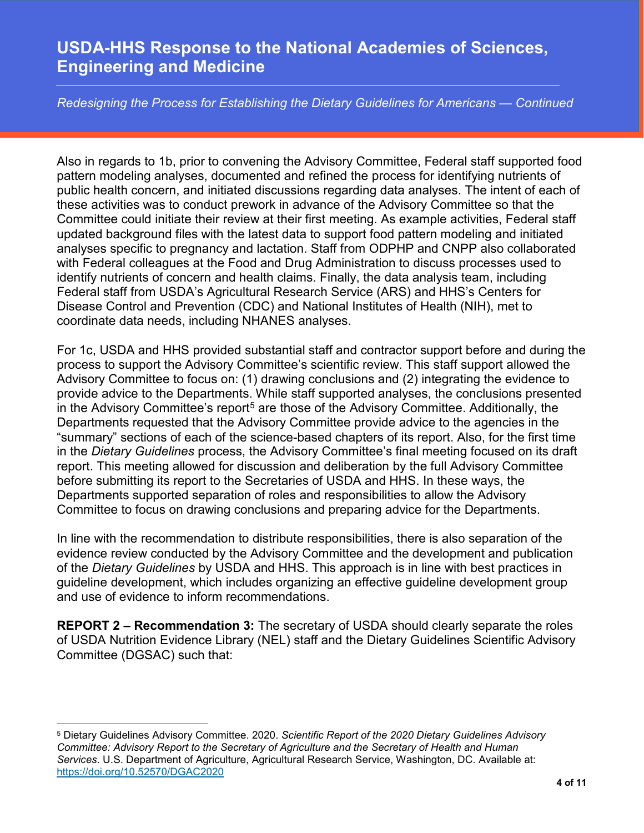*Redesigning the Process for Establishing the Dietary Guidelines for Americans — Continued*

Also in regards to 1b, prior to convening the Advisory Committee, Federal staff supported food pattern modeling analyses, documented and refined the process for identifying nutrients of public health concern, and initiated discussions regarding data analyses. The intent of each of these activities was to conduct prework in advance of the Advisory Committee so that the Committee could initiate their review at their first meeting. As example activities, Federal staff updated background files with the latest data to support food pattern modeling and initiated analyses specific to pregnancy and lactation. Staff from ODPHP and CNPP also collaborated with Federal colleagues at the Food and Drug Administration to discuss processes used to identify nutrients of concern and health claims. Finally, the data analysis team, including Federal staff from USDA's Agricultural Research Service (ARS) and HHS's Centers for Disease Control and Prevention (CDC) and National Institutes of Health (NIH), met to coordinate data needs, including NHANES analyses.

For 1c, USDA and HHS provided substantial staff and contractor support before and during the process to support the Advisory Committee's scientific review. This staff support allowed the Advisory Committee to focus on: (1) drawing conclusions and (2) integrating the evidence to provide advice to the Departments. While staff supported analyses, the conclusions presented in the Advisory Committee's report<sup>[5](#page-3-0)</sup> are those of the Advisory Committee. Additionally, the Departments requested that the Advisory Committee provide advice to the agencies in the "summary" sections of each of the science-based chapters of its report. Also, for the first time in the *Dietary Guidelines* process, the Advisory Committee's final meeting focused on its draft report. This meeting allowed for discussion and deliberation by the full Advisory Committee before submitting its report to the Secretaries of USDA and HHS. In these ways, the Departments supported separation of roles and responsibilities to allow the Advisory Committee to focus on drawing conclusions and preparing advice for the Departments.

In line with the recommendation to distribute responsibilities, there is also separation of the evidence review conducted by the Advisory Committee and the development and publication of the *Dietary Guidelines* by USDA and HHS. This approach is in line with best practices in guideline development, which includes organizing an effective guideline development group and use of evidence to inform recommendations.

**REPORT 2 – Recommendation 3:** The secretary of USDA should clearly separate the roles of USDA Nutrition Evidence Library (NEL) staff and the Dietary Guidelines Scientific Advisory Committee (DGSAC) such that:

l

<span id="page-3-0"></span><sup>5</sup> Dietary Guidelines Advisory Committee. 2020. *Scientific Report of the 2020 Dietary Guidelines Advisory Committee: Advisory Report to the Secretary of Agriculture and the Secretary of Health and Human Services.* U.S. Department of Agriculture, Agricultural Research Service, Washington, DC. Available at: <https://doi.org/10.52570/DGAC2020>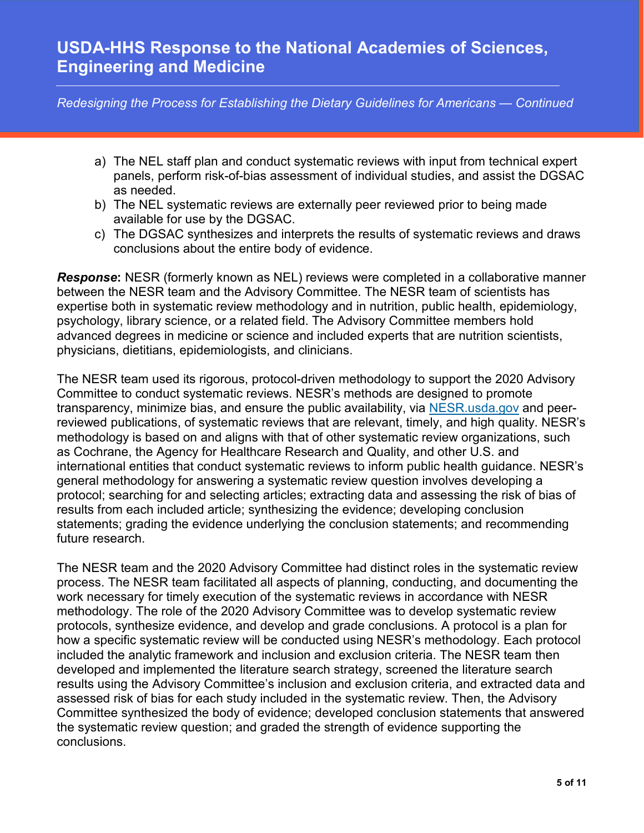*Redesigning the Process for Establishing the Dietary Guidelines for Americans — Continued*

- a) The NEL staff plan and conduct systematic reviews with input from technical expert panels, perform risk-of-bias assessment of individual studies, and assist the DGSAC as needed.
- b) The NEL systematic reviews are externally peer reviewed prior to being made available for use by the DGSAC.
- c) The DGSAC synthesizes and interprets the results of systematic reviews and draws conclusions about the entire body of evidence.

*Response***:** NESR (formerly known as NEL) reviews were completed in a collaborative manner between the NESR team and the Advisory Committee. The NESR team of scientists has expertise both in systematic review methodology and in nutrition, public health, epidemiology, psychology, library science, or a related field. The Advisory Committee members hold advanced degrees in medicine or science and included experts that are nutrition scientists, physicians, dietitians, epidemiologists, and clinicians.

The NESR team used its rigorous, protocol-driven methodology to support the 2020 Advisory Committee to conduct systematic reviews. NESR's methods are designed to promote transparency, minimize bias, and ensure the public availability, via [NESR.usda.gov](https://nesr.usda.gov/) and peerreviewed publications, of systematic reviews that are relevant, timely, and high quality. NESR's methodology is based on and aligns with that of other systematic review organizations, such as Cochrane, the Agency for Healthcare Research and Quality, and other U.S. and international entities that conduct systematic reviews to inform public health guidance. NESR's general methodology for answering a systematic review question involves developing a protocol; searching for and selecting articles; extracting data and assessing the risk of bias of results from each included article; synthesizing the evidence; developing conclusion statements; grading the evidence underlying the conclusion statements; and recommending future research.

The NESR team and the 2020 Advisory Committee had distinct roles in the systematic review process. The NESR team facilitated all aspects of planning, conducting, and documenting the work necessary for timely execution of the systematic reviews in accordance with NESR methodology. The role of the 2020 Advisory Committee was to develop systematic review protocols, synthesize evidence, and develop and grade conclusions. A protocol is a plan for how a specific systematic review will be conducted using NESR's methodology. Each protocol included the analytic framework and inclusion and exclusion criteria. The NESR team then developed and implemented the literature search strategy, screened the literature search results using the Advisory Committee's inclusion and exclusion criteria, and extracted data and assessed risk of bias for each study included in the systematic review. Then, the Advisory Committee synthesized the body of evidence; developed conclusion statements that answered the systematic review question; and graded the strength of evidence supporting the conclusions.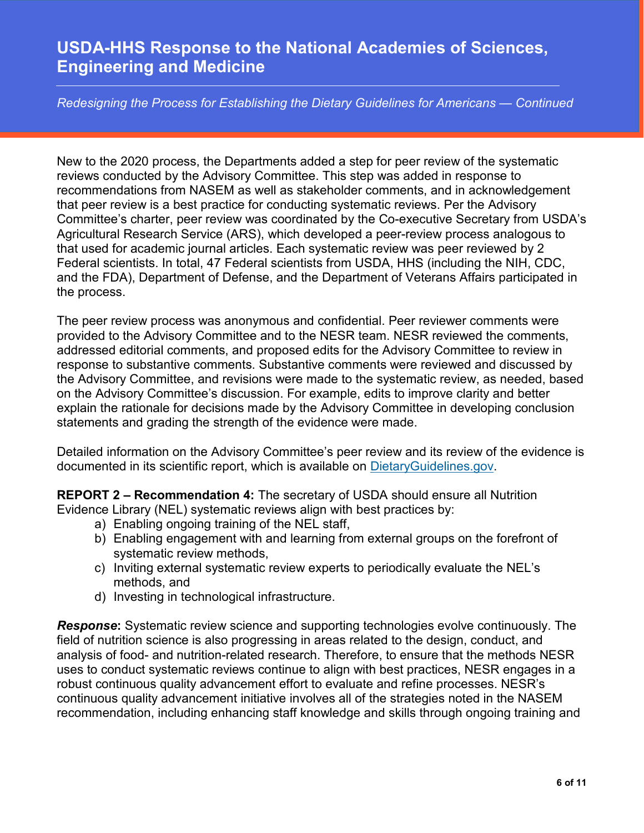*Redesigning the Process for Establishing the Dietary Guidelines for Americans — Continued*

New to the 2020 process, the Departments added a step for peer review of the systematic reviews conducted by the Advisory Committee. This step was added in response to recommendations from NASEM as well as stakeholder comments, and in acknowledgement that peer review is a best practice for conducting systematic reviews. Per the Advisory Committee's charter, peer review was coordinated by the Co-executive Secretary from USDA's Agricultural Research Service (ARS), which developed a peer-review process analogous to that used for academic journal articles. Each systematic review was peer reviewed by 2 Federal scientists. In total, 47 Federal scientists from USDA, HHS (including the NIH, CDC, and the FDA), Department of Defense, and the Department of Veterans Affairs participated in the process.

The peer review process was anonymous and confidential. Peer reviewer comments were provided to the Advisory Committee and to the NESR team. NESR reviewed the comments, addressed editorial comments, and proposed edits for the Advisory Committee to review in response to substantive comments. Substantive comments were reviewed and discussed by the Advisory Committee, and revisions were made to the systematic review, as needed, based on the Advisory Committee's discussion. For example, edits to improve clarity and better explain the rationale for decisions made by the Advisory Committee in developing conclusion statements and grading the strength of the evidence were made.

Detailed information on the Advisory Committee's peer review and its review of the evidence is documented in its scientific report, which is available on [DietaryGuidelines.gov.](https://www.dietaryguidelines.gov/)

**REPORT 2 – Recommendation 4:** The secretary of USDA should ensure all Nutrition Evidence Library (NEL) systematic reviews align with best practices by:

- a) Enabling ongoing training of the NEL staff,
- b) Enabling engagement with and learning from external groups on the forefront of systematic review methods,
- c) Inviting external systematic review experts to periodically evaluate the NEL's methods, and
- d) Investing in technological infrastructure.

*Response***:** Systematic review science and supporting technologies evolve continuously. The field of nutrition science is also progressing in areas related to the design, conduct, and analysis of food- and nutrition-related research. Therefore, to ensure that the methods NESR uses to conduct systematic reviews continue to align with best practices, NESR engages in a robust continuous quality advancement effort to evaluate and refine processes. NESR's continuous quality advancement initiative involves all of the strategies noted in the NASEM recommendation, including enhancing staff knowledge and skills through ongoing training and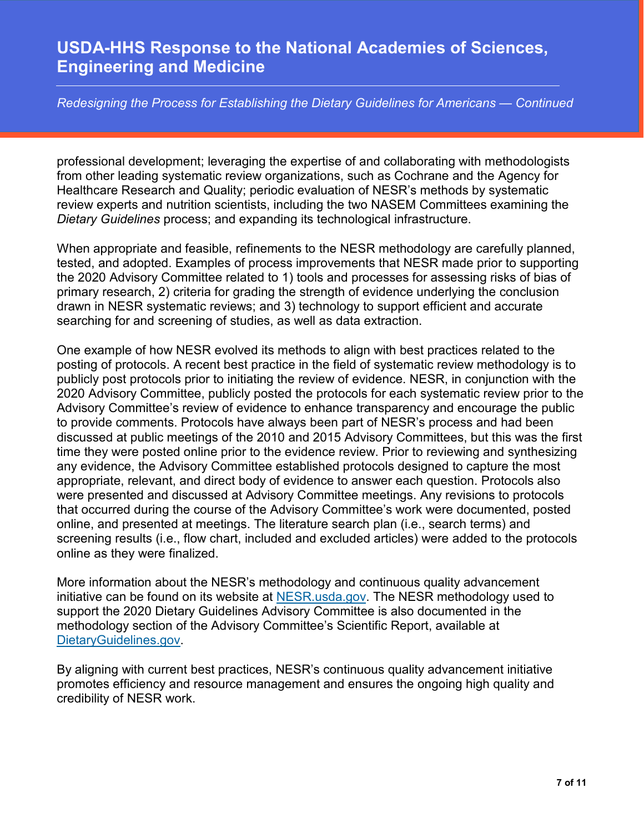*Redesigning the Process for Establishing the Dietary Guidelines for Americans — Continued*

professional development; leveraging the expertise of and collaborating with methodologists from other leading systematic review organizations, such as Cochrane and the Agency for Healthcare Research and Quality; periodic evaluation of NESR's methods by systematic review experts and nutrition scientists, including the two NASEM Committees examining the *Dietary Guidelines* process; and expanding its technological infrastructure.

When appropriate and feasible, refinements to the NESR methodology are carefully planned, tested, and adopted. Examples of process improvements that NESR made prior to supporting the 2020 Advisory Committee related to 1) tools and processes for assessing risks of bias of primary research, 2) criteria for grading the strength of evidence underlying the conclusion drawn in NESR systematic reviews; and 3) technology to support efficient and accurate searching for and screening of studies, as well as data extraction.

One example of how NESR evolved its methods to align with best practices related to the posting of protocols. A recent best practice in the field of systematic review methodology is to publicly post protocols prior to initiating the review of evidence. NESR, in conjunction with the 2020 Advisory Committee, publicly posted the protocols for each systematic review prior to the Advisory Committee's review of evidence to enhance transparency and encourage the public to provide comments. Protocols have always been part of NESR's process and had been discussed at public meetings of the 2010 and 2015 Advisory Committees, but this was the first time they were posted online prior to the evidence review. Prior to reviewing and synthesizing any evidence, the Advisory Committee established protocols designed to capture the most appropriate, relevant, and direct body of evidence to answer each question. Protocols also were presented and discussed at Advisory Committee meetings. Any revisions to protocols that occurred during the course of the Advisory Committee's work were documented, posted online, and presented at meetings. The literature search plan (i.e., search terms) and screening results (i.e., flow chart, included and excluded articles) were added to the protocols online as they were finalized.

More information about the NESR's methodology and continuous quality advancement initiative can be found on its website at [NESR.usda.gov.](https://nesr.usda.gov/) The NESR methodology used to support the 2020 Dietary Guidelines Advisory Committee is also documented in the methodology section of the Advisory Committee's Scientific Report, available at [DietaryGuidelines.gov.](http://www.dietaryguidelines.gov/)

By aligning with current best practices, NESR's continuous quality advancement initiative promotes efficiency and resource management and ensures the ongoing high quality and credibility of NESR work.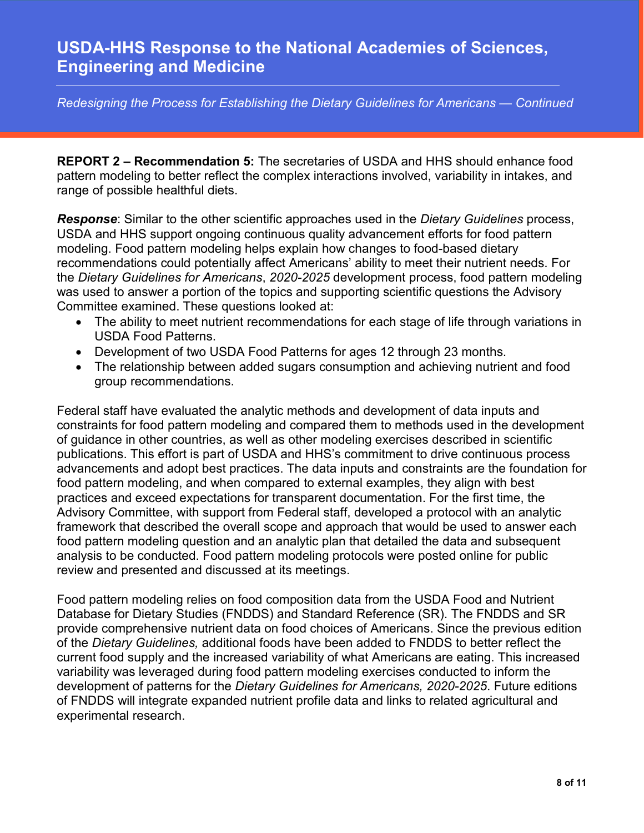*Redesigning the Process for Establishing the Dietary Guidelines for Americans — Continued*

**REPORT 2 – Recommendation 5:** The secretaries of USDA and HHS should enhance food pattern modeling to better reflect the complex interactions involved, variability in intakes, and range of possible healthful diets.

*Response*: Similar to the other scientific approaches used in the *Dietary Guidelines* process, USDA and HHS support ongoing continuous quality advancement efforts for food pattern modeling. Food pattern modeling helps explain how changes to food-based dietary recommendations could potentially affect Americans' ability to meet their nutrient needs. For the *Dietary Guidelines for Americans*, *2020-2025* development process, food pattern modeling was used to answer a portion of the topics and supporting scientific questions the Advisory Committee examined. These questions looked at:

- The ability to meet nutrient recommendations for each stage of life through variations in USDA Food Patterns.
- Development of two USDA Food Patterns for ages 12 through 23 months.
- The relationship between added sugars consumption and achieving nutrient and food group recommendations.

Federal staff have evaluated the analytic methods and development of data inputs and constraints for food pattern modeling and compared them to methods used in the development of guidance in other countries, as well as other modeling exercises described in scientific publications. This effort is part of USDA and HHS's commitment to drive continuous process advancements and adopt best practices. The data inputs and constraints are the foundation for food pattern modeling, and when compared to external examples, they align with best practices and exceed expectations for transparent documentation. For the first time, the Advisory Committee, with support from Federal staff, developed a protocol with an analytic framework that described the overall scope and approach that would be used to answer each food pattern modeling question and an analytic plan that detailed the data and subsequent analysis to be conducted. Food pattern modeling protocols were posted online for public review and presented and discussed at its meetings.

Food pattern modeling relies on food composition data from the USDA Food and Nutrient Database for Dietary Studies (FNDDS) and Standard Reference (SR). The FNDDS and SR provide comprehensive nutrient data on food choices of Americans. Since the previous edition of the *Dietary Guidelines,* additional foods have been added to FNDDS to better reflect the current food supply and the increased variability of what Americans are eating. This increased variability was leveraged during food pattern modeling exercises conducted to inform the development of patterns for the *Dietary Guidelines for Americans, 2020-2025*. Future editions of FNDDS will integrate expanded nutrient profile data and links to related agricultural and experimental research.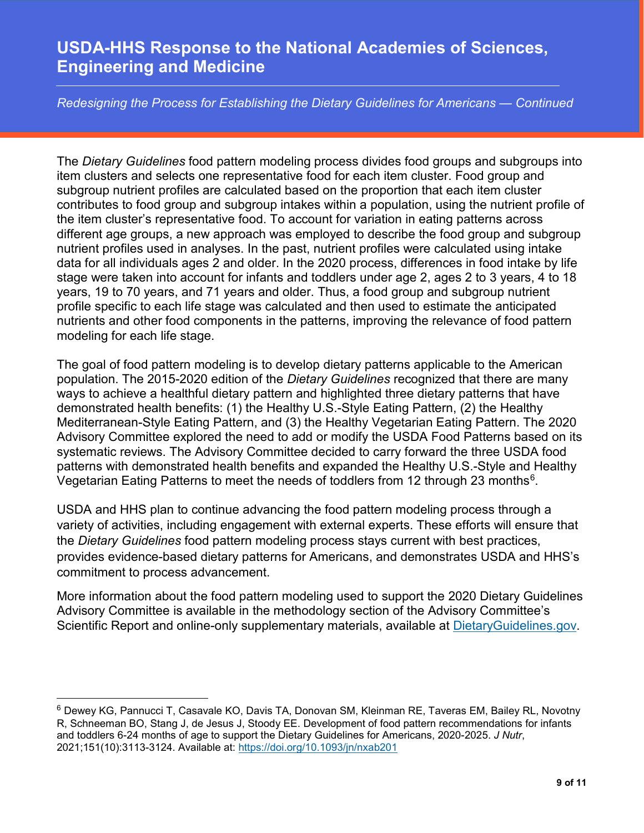*Redesigning the Process for Establishing the Dietary Guidelines for Americans — Continued*

The *Dietary Guidelines* food pattern modeling process divides food groups and subgroups into item clusters and selects one representative food for each item cluster. Food group and subgroup nutrient profiles are calculated based on the proportion that each item cluster contributes to food group and subgroup intakes within a population, using the nutrient profile of the item cluster's representative food. To account for variation in eating patterns across different age groups, a new approach was employed to describe the food group and subgroup nutrient profiles used in analyses. In the past, nutrient profiles were calculated using intake data for all individuals ages 2 and older. In the 2020 process, differences in food intake by life stage were taken into account for infants and toddlers under age 2, ages 2 to 3 years, 4 to 18 years, 19 to 70 years, and 71 years and older. Thus, a food group and subgroup nutrient profile specific to each life stage was calculated and then used to estimate the anticipated nutrients and other food components in the patterns, improving the relevance of food pattern modeling for each life stage.

The goal of food pattern modeling is to develop dietary patterns applicable to the American population. The 2015-2020 edition of the *Dietary Guidelines* recognized that there are many ways to achieve a healthful dietary pattern and highlighted three dietary patterns that have demonstrated health benefits: (1) the Healthy U.S.-Style Eating Pattern, (2) the Healthy Mediterranean-Style Eating Pattern, and (3) the Healthy Vegetarian Eating Pattern. The 2020 Advisory Committee explored the need to add or modify the USDA Food Patterns based on its systematic reviews. The Advisory Committee decided to carry forward the three USDA food patterns with demonstrated health benefits and expanded the Healthy U.S.-Style and Healthy Vegetarian Eating Patterns to meet the needs of toddlers from 12 through 23 months<sup>6</sup>.

USDA and HHS plan to continue advancing the food pattern modeling process through a variety of activities, including engagement with external experts. These efforts will ensure that the *Dietary Guidelines* food pattern modeling process stays current with best practices, provides evidence-based dietary patterns for Americans, and demonstrates USDA and HHS's commitment to process advancement.

More information about the food pattern modeling used to support the 2020 Dietary Guidelines Advisory Committee is available in the methodology section of the Advisory Committee's Scientific Report and online-only supplementary materials, available at [DietaryGuidelines.gov.](http://www.dietaryguidelines.gov/)

 $\overline{\phantom{a}}$ 

<span id="page-8-0"></span><sup>6</sup> Dewey KG, Pannucci T, Casavale KO, Davis TA, Donovan SM, Kleinman RE, Taveras EM, Bailey RL, Novotny R, Schneeman BO, Stang J, de Jesus J, Stoody EE. Development of food pattern recommendations for infants and toddlers 6-24 months of age to support the Dietary Guidelines for Americans, 2020-2025. *J Nutr*, 2021;151(10):3113-3124. Available at:<https://doi.org/10.1093/jn/nxab201>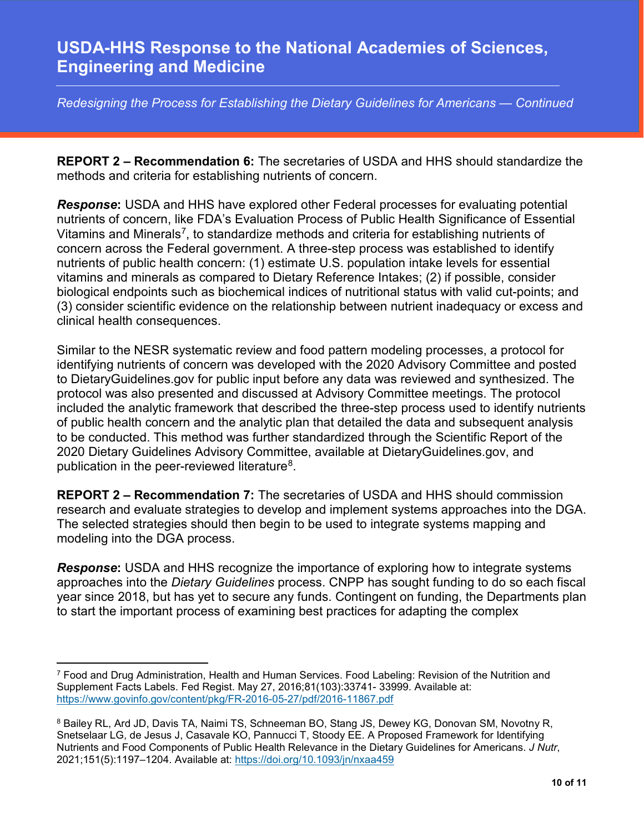*Redesigning the Process for Establishing the Dietary Guidelines for Americans — Continued*

**REPORT 2 – Recommendation 6:** The secretaries of USDA and HHS should standardize the methods and criteria for establishing nutrients of concern.

*Response***:** USDA and HHS have explored other Federal processes for evaluating potential nutrients of concern, like FDA's Evaluation Process of Public Health Significance of Essential Vitamins and Minerals[7](#page-9-0), to standardize methods and criteria for establishing nutrients of concern across the Federal government. A three-step process was established to identify nutrients of public health concern: (1) estimate U.S. population intake levels for essential vitamins and minerals as compared to Dietary Reference Intakes; (2) if possible, consider biological endpoints such as biochemical indices of nutritional status with valid cut-points; and (3) consider scientific evidence on the relationship between nutrient inadequacy or excess and clinical health consequences.

Similar to the NESR systematic review and food pattern modeling processes, a protocol for identifying nutrients of concern was developed with the 2020 Advisory Committee and posted to DietaryGuidelines.gov for public input before any data was reviewed and synthesized. The protocol was also presented and discussed at Advisory Committee meetings. The protocol included the analytic framework that described the three-step process used to identify nutrients of public health concern and the analytic plan that detailed the data and subsequent analysis to be conducted. This method was further standardized through the Scientific Report of the 2020 Dietary Guidelines Advisory Committee, available at DietaryGuidelines.gov, and publication in the peer-reviewed literature[8](#page-9-1).

**REPORT 2 – Recommendation 7:** The secretaries of USDA and HHS should commission research and evaluate strategies to develop and implement systems approaches into the DGA. The selected strategies should then begin to be used to integrate systems mapping and modeling into the DGA process.

*Response***:** USDA and HHS recognize the importance of exploring how to integrate systems approaches into the *Dietary Guidelines* process. CNPP has sought funding to do so each fiscal year since 2018, but has yet to secure any funds. Contingent on funding, the Departments plan to start the important process of examining best practices for adapting the complex

 $\overline{\phantom{a}}$ 

<span id="page-9-0"></span><sup>7</sup> Food and Drug Administration, Health and Human Services. Food Labeling: Revision of the Nutrition and Supplement Facts Labels. Fed Regist. May 27, 2016;81(103):33741- 33999. Available at: <https://www.govinfo.gov/content/pkg/FR-2016-05-27/pdf/2016-11867.pdf>

<span id="page-9-1"></span><sup>8</sup> Bailey RL, Ard JD, Davis TA, Naimi TS, Schneeman BO, Stang JS, Dewey KG, Donovan SM, Novotny R, Snetselaar LG, de Jesus J, Casavale KO, Pannucci T, Stoody EE. A Proposed Framework for Identifying Nutrients and Food Components of Public Health Relevance in the Dietary Guidelines for Americans. *J Nutr*, 2021;151(5):1197–1204. Available at:<https://doi.org/10.1093/jn/nxaa459>